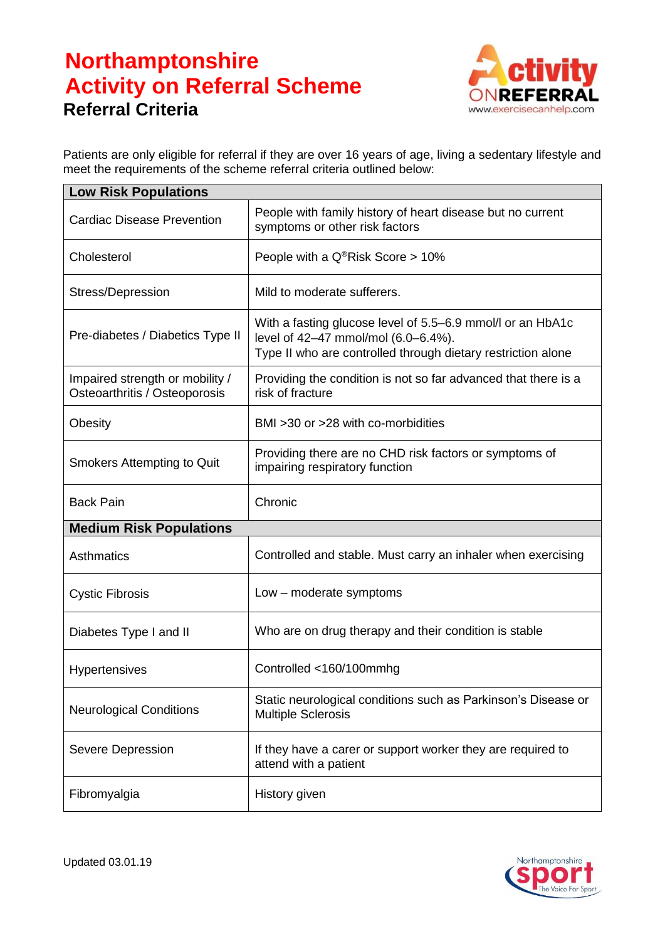## **Northamptonshire Activity on Referral Scheme Referral Criteria**



Patients are only eligible for referral if they are over 16 years of age, living a sedentary lifestyle and meet the requirements of the scheme referral criteria outlined below:

| <b>Low Risk Populations</b>                                      |                                                                                                                                                                   |  |
|------------------------------------------------------------------|-------------------------------------------------------------------------------------------------------------------------------------------------------------------|--|
| <b>Cardiac Disease Prevention</b>                                | People with family history of heart disease but no current<br>symptoms or other risk factors                                                                      |  |
| Cholesterol                                                      | People with a Q <sup>®</sup> Risk Score > 10%                                                                                                                     |  |
| Stress/Depression                                                | Mild to moderate sufferers.                                                                                                                                       |  |
| Pre-diabetes / Diabetics Type II                                 | With a fasting glucose level of 5.5–6.9 mmol/l or an HbA1c<br>level of 42-47 mmol/mol (6.0-6.4%).<br>Type II who are controlled through dietary restriction alone |  |
| Impaired strength or mobility /<br>Osteoarthritis / Osteoporosis | Providing the condition is not so far advanced that there is a<br>risk of fracture                                                                                |  |
| Obesity                                                          | BMI > 30 or > 28 with co-morbidities                                                                                                                              |  |
| <b>Smokers Attempting to Quit</b>                                | Providing there are no CHD risk factors or symptoms of<br>impairing respiratory function                                                                          |  |
| <b>Back Pain</b>                                                 | Chronic                                                                                                                                                           |  |
| <b>Medium Risk Populations</b>                                   |                                                                                                                                                                   |  |
| Asthmatics                                                       | Controlled and stable. Must carry an inhaler when exercising                                                                                                      |  |
| <b>Cystic Fibrosis</b>                                           | Low – moderate symptoms                                                                                                                                           |  |
| Diabetes Type I and II                                           | Who are on drug therapy and their condition is stable                                                                                                             |  |
| Hypertensives                                                    | Controlled <160/100mmhg                                                                                                                                           |  |
| <b>Neurological Conditions</b>                                   | Static neurological conditions such as Parkinson's Disease or<br><b>Multiple Sclerosis</b>                                                                        |  |
| Severe Depression                                                | If they have a carer or support worker they are required to<br>attend with a patient                                                                              |  |
| Fibromyalgia                                                     | History given                                                                                                                                                     |  |

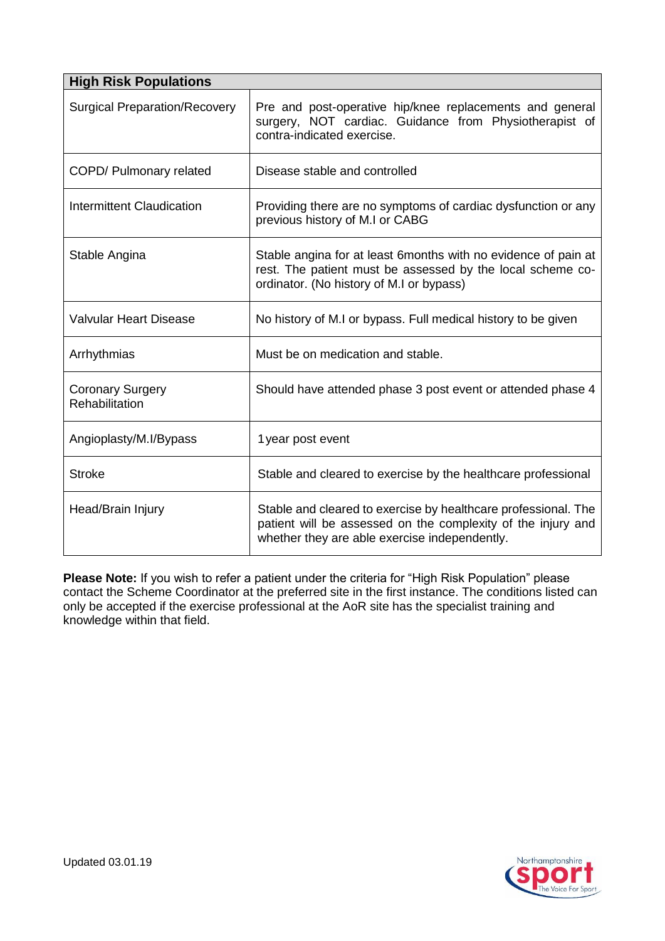| <b>High Risk Populations</b>              |                                                                                                                                                                                 |  |
|-------------------------------------------|---------------------------------------------------------------------------------------------------------------------------------------------------------------------------------|--|
| <b>Surgical Preparation/Recovery</b>      | Pre and post-operative hip/knee replacements and general<br>surgery, NOT cardiac. Guidance from Physiotherapist of<br>contra-indicated exercise.                                |  |
| COPD/ Pulmonary related                   | Disease stable and controlled                                                                                                                                                   |  |
| Intermittent Claudication                 | Providing there are no symptoms of cardiac dysfunction or any<br>previous history of M.I or CABG                                                                                |  |
| Stable Angina                             | Stable angina for at least 6months with no evidence of pain at<br>rest. The patient must be assessed by the local scheme co-<br>ordinator. (No history of M.I or bypass)        |  |
| <b>Valvular Heart Disease</b>             | No history of M.I or bypass. Full medical history to be given                                                                                                                   |  |
| Arrhythmias                               | Must be on medication and stable.                                                                                                                                               |  |
| <b>Coronary Surgery</b><br>Rehabilitation | Should have attended phase 3 post event or attended phase 4                                                                                                                     |  |
| Angioplasty/M.I/Bypass                    | 1 year post event                                                                                                                                                               |  |
| <b>Stroke</b>                             | Stable and cleared to exercise by the healthcare professional                                                                                                                   |  |
| Head/Brain Injury                         | Stable and cleared to exercise by healthcare professional. The<br>patient will be assessed on the complexity of the injury and<br>whether they are able exercise independently. |  |

**Please Note:** If you wish to refer a patient under the criteria for "High Risk Population" please contact the Scheme Coordinator at the preferred site in the first instance. The conditions listed can only be accepted if the exercise professional at the AoR site has the specialist training and knowledge within that field.